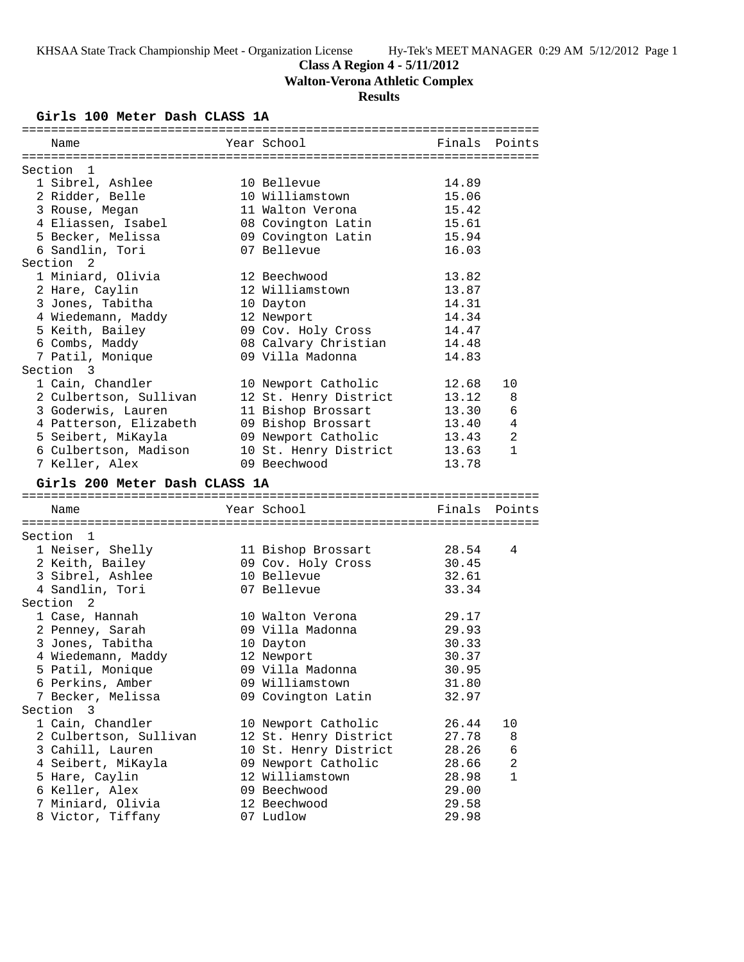**Class A Region 4 - 5/11/2012**

**Walton-Verona Athletic Complex**

# **Results**

**Girls 100 Meter Dash CLASS 1A**

| Name                                   | Year School               | Finals         | Points         |
|----------------------------------------|---------------------------|----------------|----------------|
|                                        |                           |                |                |
| Section 1                              |                           |                |                |
| 1 Sibrel, Ashlee                       | 10 Bellevue               | 14.89          |                |
| 2 Ridder, Belle                        | 10 Williamstown           | 15.06          |                |
| 3 Rouse, Megan                         | 11 Walton Verona          | 15.42          |                |
| 4 Eliassen, Isabel                     | 08 Covington Latin        | 15.61          |                |
| 5 Becker, Melissa                      | 09 Covington Latin        | 15.94          |                |
| 6 Sandlin, Tori                        | 07 Bellevue               | 16.03          |                |
| Section <sub>2</sub>                   |                           |                |                |
| 1 Miniard, Olivia                      | 12 Beechwood              | 13.82          |                |
| 2 Hare, Caylin                         | 12 Williamstown           | 13.87          |                |
| 3 Jones, Tabitha                       | 10 Dayton                 | 14.31          |                |
| 4 Wiedemann, Maddy                     | 12 Newport                | 14.34          |                |
| 5 Keith, Bailey                        | 09 Cov. Holy Cross        | 14.47          |                |
| 6 Combs, Maddy                         | 08 Calvary Christian      | 14.48          |                |
| 7 Patil, Monique                       | 09 Villa Madonna          | 14.83          |                |
| Section 3                              |                           |                |                |
| 1 Cain, Chandler                       | 10 Newport Catholic       | 12.68          | 10             |
| 2 Culbertson, Sullivan                 | 12 St. Henry District     | 13.12          | 8              |
| 3 Goderwis, Lauren                     | 11 Bishop Brossart        | 13.30          | 6              |
| 4 Patterson, Elizabeth                 | 09 Bishop Brossart        | 13.40          | $\overline{4}$ |
| 5 Seibert, MiKayla                     | 09 Newport Catholic       | 13.43          | 2              |
| 6 Culbertson, Madison                  | 10 St. Henry District     | 13.63          | $\mathbf{1}$   |
| 7 Keller, Alex                         | 09 Beechwood              | 13.78          |                |
|                                        |                           |                |                |
|                                        |                           |                |                |
| Girls 200 Meter Dash CLASS 1A          |                           |                |                |
|                                        |                           |                |                |
| Name                                   | Year School               | Finals         | Points         |
| Section<br>1                           |                           |                |                |
|                                        |                           |                | 4              |
| 1 Neiser, Shelly                       | 11 Bishop Brossart        | 28.54          |                |
| 2 Keith, Bailey                        | 09 Cov. Holy Cross        | 30.45          |                |
| 3 Sibrel, Ashlee                       | 10 Bellevue               | 32.61          |                |
| 4 Sandlin, Tori                        | 07 Bellevue               | 33.34          |                |
| Section 2                              |                           |                |                |
| 1 Case, Hannah                         | 10 Walton Verona          | 29.17          |                |
| 2 Penney, Sarah                        | 09 Villa Madonna          | 29.93          |                |
| 3 Jones, Tabitha                       | 10 Dayton                 | 30.33          |                |
| 4 Wiedemann, Maddy                     | 12 Newport                | 30.37          |                |
| 5 Patil, Monique                       | 09 Villa Madonna          | 30.95          |                |
| 6 Perkins, Amber                       | 09 Williamstown           | 31.80          |                |
| 7 Becker, Melissa                      | 09 Covington Latin        | 32.97          |                |
| Section 3                              |                           |                |                |
| 1 Cain, Chandler                       | 10 Newport Catholic       | 26.44          | 10             |
| 2 Culbertson, Sullivan                 | 12 St. Henry District     | 27.78          | 8              |
| 3 Cahill, Lauren                       | 10 St. Henry District     | 28.26          | 6              |
| 4 Seibert, MiKayla                     | 09 Newport Catholic       | 28.66          | 2              |
| 5 Hare, Caylin                         | 12 Williamstown           | 28.98          | 1              |
| 6 Keller, Alex                         | 09 Beechwood              | 29.00          |                |
| 7 Miniard, Olivia<br>8 Victor, Tiffany | 12 Beechwood<br>07 Ludlow | 29.58<br>29.98 |                |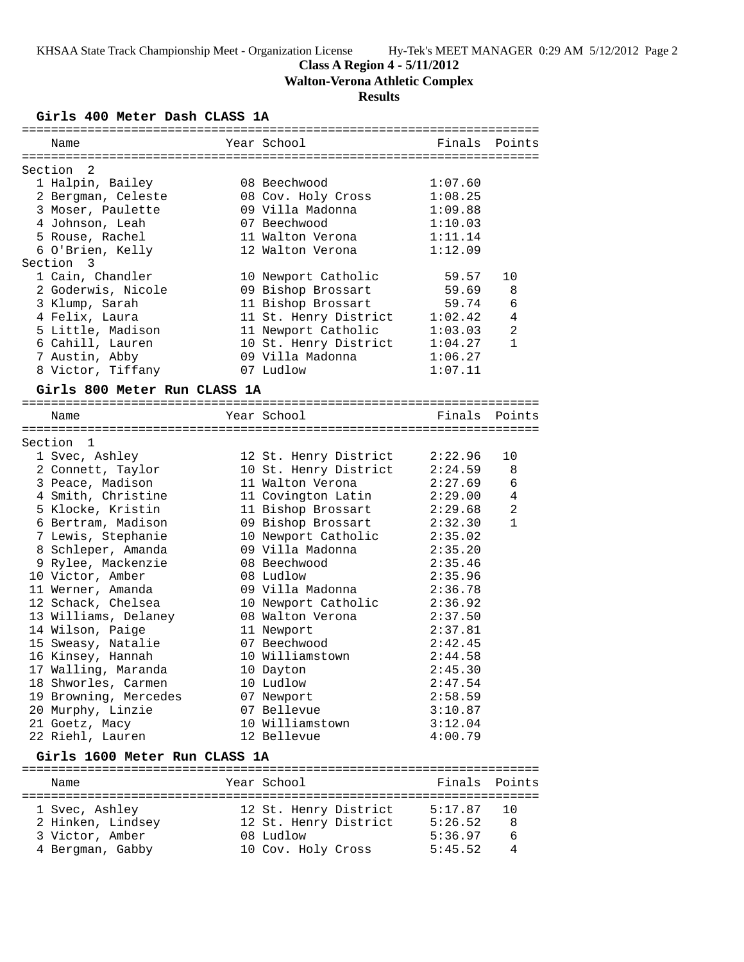**Class A Region 4 - 5/11/2012**

**Walton-Verona Athletic Complex**

# **Results**

**Girls 400 Meter Dash CLASS 1A**

| Name                          | Year School           | Finals Points |                |
|-------------------------------|-----------------------|---------------|----------------|
| Section<br>2                  |                       |               |                |
| 1 Halpin, Bailey              | 08 Beechwood          | 1:07.60       |                |
| 2 Bergman, Celeste            | 08 Cov. Holy Cross    | 1:08.25       |                |
| 3 Moser, Paulette             | 09 Villa Madonna      | 1:09.88       |                |
| 4 Johnson, Leah               | 07 Beechwood          | 1:10.03       |                |
| 5 Rouse, Rachel               | 11 Walton Verona      | 1:11.14       |                |
|                               |                       |               |                |
| 6 O'Brien, Kelly<br>Section 3 | 12 Walton Verona      | 1:12.09       |                |
| 1 Cain, Chandler              | 10 Newport Catholic   | 59.57         | 10             |
| 2 Goderwis, Nicole            | 09 Bishop Brossart    | 59.69         | 8              |
| 3 Klump, Sarah                | 11 Bishop Brossart    | 59.74         | 6              |
| 4 Felix, Laura                | 11 St. Henry District | 1:02.42       | 4              |
|                               |                       | 1:03.03       | 2              |
| 5 Little, Madison             | 11 Newport Catholic   |               |                |
| 6 Cahill, Lauren              | 10 St. Henry District | 1:04.27       | $\mathbf{1}$   |
| 7 Austin, Abby                | 09 Villa Madonna      | 1:06.27       |                |
| 8 Victor, Tiffany             | 07 Ludlow             | 1:07.11       |                |
| Girls 800 Meter Run CLASS 1A  |                       |               |                |
| Name                          | Year School           | Finals        | Points         |
|                               |                       |               |                |
| Section 1                     |                       |               |                |
| 1 Svec, Ashley                | 12 St. Henry District | 2:22.96       | 10             |
| 2 Connett, Taylor             | 10 St. Henry District | 2:24.59       | 8              |
| 3 Peace, Madison              | 11 Walton Verona      | 2:27.69       | 6              |
| 4 Smith, Christine            | 11 Covington Latin    | 2:29.00       | 4              |
|                               |                       |               | $\overline{2}$ |
| 5 Klocke, Kristin             | 11 Bishop Brossart    | 2:29.68       |                |
| 6 Bertram, Madison            | 09 Bishop Brossart    | 2:32.30       | $\mathbf{1}$   |
| 7 Lewis, Stephanie            | 10 Newport Catholic   | 2:35.02       |                |
| 8 Schleper, Amanda            | 09 Villa Madonna      | 2:35.20       |                |
| 9 Rylee, Mackenzie            | 08 Beechwood          | 2:35.46       |                |
| 10 Victor, Amber              | 08 Ludlow             | 2:35.96       |                |
| 11 Werner, Amanda             | 09 Villa Madonna      | 2:36.78       |                |
| 12 Schack, Chelsea            | 10 Newport Catholic   | 2:36.92       |                |
| 13 Williams, Delaney          | 08 Walton Verona      | 2:37.50       |                |
| 14 Wilson, Paige              | 11 Newport            | 2:37.81       |                |
| 15 Sweasy, Natalie            | 07 Beechwood          | 2:42.45       |                |
| 16 Kinsey, Hannah             | 10 Williamstown       | 2:44.58       |                |
| 17 Walling, Maranda           | 10 Dayton             | 2:45.30       |                |
| 18 Shworles, Carmen           | 10 Ludlow             | 2:47.54       |                |
| 19 Browning, Mercedes         | 07 Newport            | 2:58.59       |                |
| 20 Murphy, Linzie             | 07 Bellevue           | 3:10.87       |                |
|                               | 10 Williamstown       |               |                |
| 21 Goetz, Macy                |                       | 3:12.04       |                |
| 22 Riehl, Lauren              | 12 Bellevue           | 4:00.79       |                |
| Girls 1600 Meter Run CLASS 1A |                       |               |                |
| Name                          | Year School           | Finals        | Points         |
|                               |                       |               |                |
| 1 Svec, Ashley                | 12 St. Henry District | 5:17.87       | 10             |
| 2 Hinken, Lindsey             | 12 St. Henry District | 5:26.52       | 8              |

 3 Victor, Amber 08 Ludlow 5:36.97 6 4 Bergman, Gabby 10 Cov. Holy Cross 5:45.52 4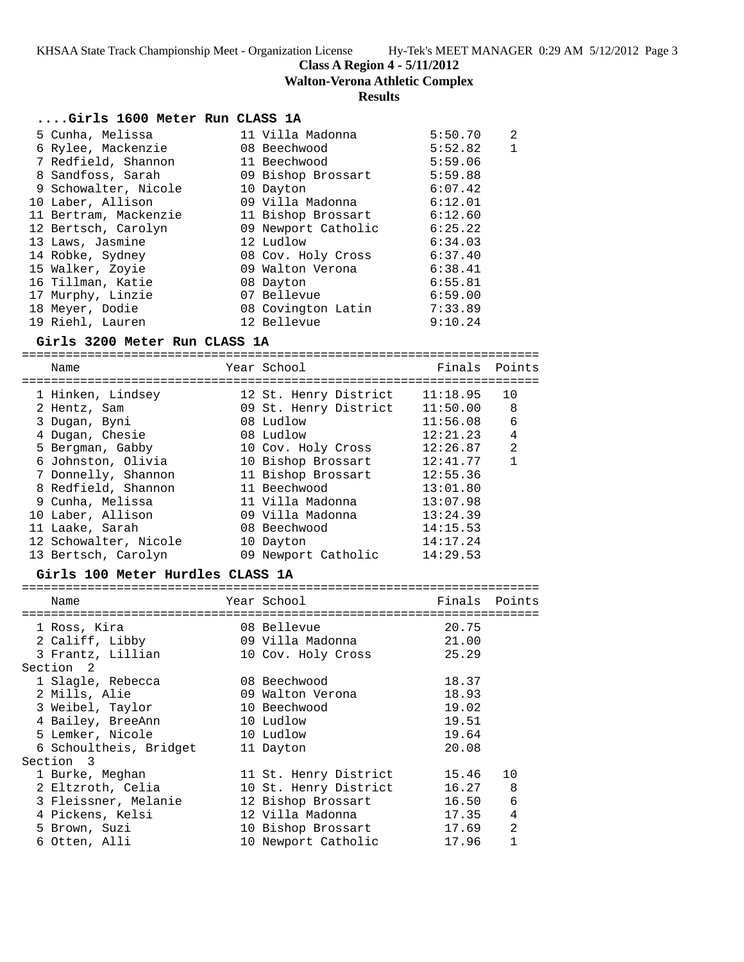**Class A Region 4 - 5/11/2012**

**Walton-Verona Athletic Complex**

# **Results**

# **....Girls 1600 Meter Run CLASS 1A**

|                                                                                                                                                                                                                                                                                                                              |                                                                                                                                                                                                                                                                              | 2                  |
|------------------------------------------------------------------------------------------------------------------------------------------------------------------------------------------------------------------------------------------------------------------------------------------------------------------------------|------------------------------------------------------------------------------------------------------------------------------------------------------------------------------------------------------------------------------------------------------------------------------|--------------------|
|                                                                                                                                                                                                                                                                                                                              | 5:52.82                                                                                                                                                                                                                                                                      | $\mathbf{1}$       |
|                                                                                                                                                                                                                                                                                                                              | 5:59.06                                                                                                                                                                                                                                                                      |                    |
|                                                                                                                                                                                                                                                                                                                              | 5:59.88                                                                                                                                                                                                                                                                      |                    |
|                                                                                                                                                                                                                                                                                                                              | 6:07.42                                                                                                                                                                                                                                                                      |                    |
|                                                                                                                                                                                                                                                                                                                              | 6:12.01                                                                                                                                                                                                                                                                      |                    |
|                                                                                                                                                                                                                                                                                                                              |                                                                                                                                                                                                                                                                              |                    |
|                                                                                                                                                                                                                                                                                                                              | 6:25.22                                                                                                                                                                                                                                                                      |                    |
|                                                                                                                                                                                                                                                                                                                              | 6:34.03                                                                                                                                                                                                                                                                      |                    |
|                                                                                                                                                                                                                                                                                                                              | 6:37.40                                                                                                                                                                                                                                                                      |                    |
|                                                                                                                                                                                                                                                                                                                              | 6:38.41                                                                                                                                                                                                                                                                      |                    |
|                                                                                                                                                                                                                                                                                                                              | 6:55.81                                                                                                                                                                                                                                                                      |                    |
|                                                                                                                                                                                                                                                                                                                              | 6:59.00                                                                                                                                                                                                                                                                      |                    |
|                                                                                                                                                                                                                                                                                                                              | 7:33.89                                                                                                                                                                                                                                                                      |                    |
|                                                                                                                                                                                                                                                                                                                              | 9:10.24                                                                                                                                                                                                                                                                      |                    |
| 5 Cunha, Melissa<br>6 Rylee, Mackenzie<br>7 Redfield, Shannon<br>8 Sandfoss, Sarah<br>9 Schowalter, Nicole<br>10 Laber, Allison<br>11 Bertram, Mackenzie<br>12 Bertsch, Carolyn<br>13 Laws, Jasmine<br>14 Robke, Sydney<br>15 Walker, Zoyie<br>16 Tillman, Katie<br>17 Murphy, Linzie<br>18 Meyer, Dodie<br>19 Riehl, Lauren | 11 Villa Madonna<br>08 Beechwood<br>11 Beechwood<br>09 Bishop Brossart<br>10 Dayton<br>09 Villa Madonna<br>11 Bishop Brossart<br>09 Newport Catholic<br>12 Ludlow<br>08 Cov. Holy Cross<br>09 Walton Verona<br>08 Dayton<br>07 Bellevue<br>08 Covington Latin<br>12 Bellevue | 5:50.70<br>6:12.60 |

#### **Girls 3200 Meter Run CLASS 1A**

=======================================================================

| Name                  | Year School           | Finals   | Points         |
|-----------------------|-----------------------|----------|----------------|
| 1 Hinken, Lindsey     | 12 St. Henry District | 11:18.95 | 10             |
| 2 Hentz, Sam          | 09 St. Henry District | 11:50.00 | -8             |
| 3 Dugan, Byni         | 08 Ludlow             | 11:56.08 | 6              |
| 4 Dugan, Chesie       | 08 Ludlow             | 12:21.23 | 4              |
| 5 Bergman, Gabby      | 10 Cov. Holy Cross    | 12:26.87 | $\mathfrak{D}$ |
| 6 Johnston, Olivia    | 10 Bishop Brossart    | 12:41.77 | 1              |
| 7 Donnelly, Shannon   | 11 Bishop Brossart    | 12:55.36 |                |
| 8 Redfield, Shannon   | 11 Beechwood          | 13:01.80 |                |
| 9 Cunha, Melissa      | 11 Villa Madonna      | 13:07.98 |                |
| 10 Laber, Allison     | 09 Villa Madonna      | 13:24.39 |                |
| 11 Laake, Sarah       | 08 Beechwood          | 14:15.53 |                |
| 12 Schowalter, Nicole | 10 Dayton             | 14:17.24 |                |
| 13 Bertsch, Carolyn   | 09 Newport Catholic   | 14:29.53 |                |
|                       |                       |          |                |

# **Girls 100 Meter Hurdles CLASS 1A**

| Name                   | Year School           | Finals | Points         |
|------------------------|-----------------------|--------|----------------|
| 1 Ross, Kira           | 08 Bellevue           | 20.75  |                |
| 2 Califf, Libby        | 09 Villa Madonna      | 21.00  |                |
| 3 Frantz, Lillian      | 10 Cov. Holy Cross    | 25.29  |                |
| Section 2              |                       |        |                |
| 1 Slagle, Rebecca      | 08 Beechwood          | 18.37  |                |
| 2 Mills, Alie          | 09 Walton Verona      | 18.93  |                |
| 3 Weibel, Taylor       | 10 Beechwood          | 19.02  |                |
| 4 Bailey, BreeAnn      | 10 Ludlow             | 19.51  |                |
| 5 Lemker, Nicole       | 10 Ludlow             | 19.64  |                |
| 6 Schoultheis, Bridget | 11 Dayton             | 20.08  |                |
| Section 3              |                       |        |                |
| 1 Burke, Meghan        | 11 St. Henry District | 15.46  | 10             |
| 2 Eltzroth, Celia      | 10 St. Henry District | 16.27  | 8              |
| 3 Fleissner, Melanie   | 12 Bishop Brossart    | 16.50  | 6              |
| 4 Pickens, Kelsi       | 12 Villa Madonna      | 17.35  | 4              |
| 5 Brown, Suzi          | 10 Bishop Brossart    | 17.69  | $\mathfrak{D}$ |
| 6 Otten, Alli          | 10 Newport Catholic   | 17.96  |                |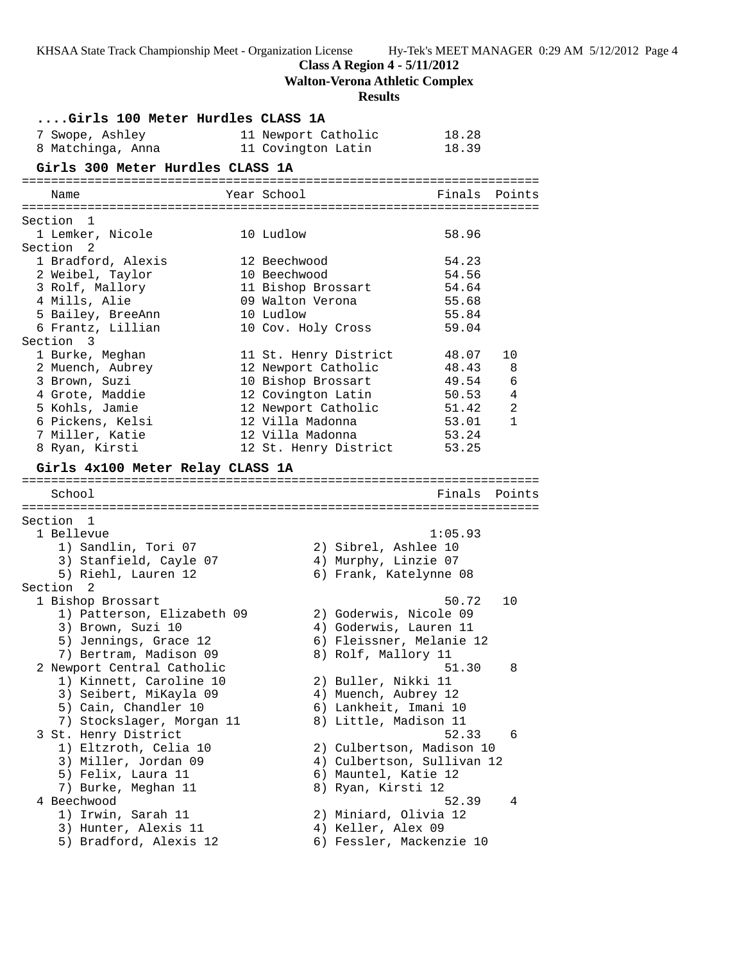**Class A Region 4 - 5/11/2012**

**Walton-Verona Athletic Complex**

# **Results**

| Girls 100 Meter Hurdles CLASS 1A<br>7 Swope, Ashley<br>8 Matchinga, Anna 11 Covington Latin | 11 Newport Catholic   |                             | 18.28<br>18.39 |                            |
|---------------------------------------------------------------------------------------------|-----------------------|-----------------------------|----------------|----------------------------|
| Girls 300 Meter Hurdles CLASS 1A                                                            |                       |                             |                |                            |
| Name                                                                                        | Year School           |                             | Finals         | Points                     |
| Section 1                                                                                   |                       |                             |                |                            |
| 1 Lemker, Nicole<br>Section 2                                                               | 10 Ludlow             |                             | 58.96          |                            |
| 1 Bradford, Alexis                                                                          | 12 Beechwood          |                             | 54.23          |                            |
| 2 Weibel, Taylor                                                                            | 10 Beechwood          |                             | 54.56          |                            |
| 3 Rolf, Mallory                                                                             | 11 Bishop Brossart    |                             | 54.64          |                            |
| 4 Mills, Alie                                                                               | 09 Walton Verona      |                             | 55.68          |                            |
| 5 Bailey, BreeAnn                                                                           | 10 Ludlow             |                             | 55.84          |                            |
| 6 Frantz, Lillian<br>Section 3                                                              | 10 Cov. Holy Cross    |                             | 59.04          |                            |
| 1 Burke, Meghan                                                                             | 11 St. Henry District |                             | 48.07          | 10                         |
| 2 Muench, Aubrey                                                                            | 12 Newport Catholic   |                             | 48.43          | 8                          |
| 3 Brown, Suzi                                                                               | 10 Bishop Brossart    |                             | 49.54          | 6                          |
| 4 Grote, Maddie                                                                             | 12 Covington Latin    |                             | 50.53          | $\overline{4}$             |
| 5 Kohls, Jamie                                                                              |                       | 12 Newport Catholic         | 51.42          | $\overline{\phantom{a}}$ 2 |
| 6 Pickens, Kelsi                                                                            | 12 Villa Madonna      |                             | 53.01          | $\mathbf{1}$               |
| 7 Miller, Katie                                                                             | 12 Villa Madonna      |                             | 53.24          |                            |
| 8 Ryan, Kirsti                                                                              |                       | 12 St. Henry District 53.25 |                |                            |
| Girls 4x100 Meter Relay CLASS 1A                                                            |                       |                             |                |                            |
| School                                                                                      |                       |                             | Finals         | Points                     |
|                                                                                             |                       |                             |                |                            |
| Section 1                                                                                   |                       |                             |                |                            |
| 1 Bellevue                                                                                  |                       |                             | 1:05.93        |                            |
| 1) Sandlin, Tori 07                                                                         |                       | 2) Sibrel, Ashlee 10        |                |                            |
| 3) Stanfield, Cayle 07                                                                      |                       | 4) Murphy, Linzie 07        |                |                            |
| 5) Riehl, Lauren 12                                                                         |                       | 6) Frank, Katelynne 08      |                |                            |
| Section 2                                                                                   |                       |                             |                |                            |
| 1 Bishop Brossart                                                                           |                       |                             | 50.72          | 10                         |
| 1) Patterson, Elizabeth 09                                                                  |                       | 2) Goderwis, Nicole 09      |                |                            |
| 3) Brown, Suzi 10                                                                           |                       | 4) Goderwis, Lauren 11      |                |                            |
| 5) Jennings, Grace 12                                                                       |                       | 6) Fleissner, Melanie 12    |                |                            |
| 7) Bertram, Madison 09                                                                      |                       | 8) Rolf, Mallory 11         |                |                            |
| 2 Newport Central Catholic                                                                  |                       |                             | 51.30          | 8                          |
| 1) Kinnett, Caroline 10                                                                     |                       | 2) Buller, Nikki 11         |                |                            |
| 3) Seibert, MiKayla 09                                                                      |                       | 4) Muench, Aubrey 12        |                |                            |
| 5) Cain, Chandler 10                                                                        |                       | 6) Lankheit, Imani 10       |                |                            |
| 7) Stockslager, Morgan 11                                                                   |                       | 8) Little, Madison 11       |                |                            |
| 3 St. Henry District                                                                        |                       |                             | 52.33          | 6                          |
| 1) Eltzroth, Celia 10                                                                       |                       | 2) Culbertson, Madison 10   |                |                            |
| 3) Miller, Jordan 09                                                                        |                       | 4) Culbertson, Sullivan 12  |                |                            |
| 5) Felix, Laura 11                                                                          |                       | 6) Mauntel, Katie 12        |                |                            |
| 7) Burke, Meghan 11                                                                         |                       | 8) Ryan, Kirsti 12          |                |                            |
| 4 Beechwood                                                                                 |                       |                             | 52.39          | 4                          |
| 1) Irwin, Sarah 11                                                                          |                       | 2) Miniard, Olivia 12       |                |                            |
| 3) Hunter, Alexis 11                                                                        |                       | 4) Keller, Alex 09          |                |                            |
| 5) Bradford, Alexis 12                                                                      |                       | 6) Fessler, Mackenzie 10    |                |                            |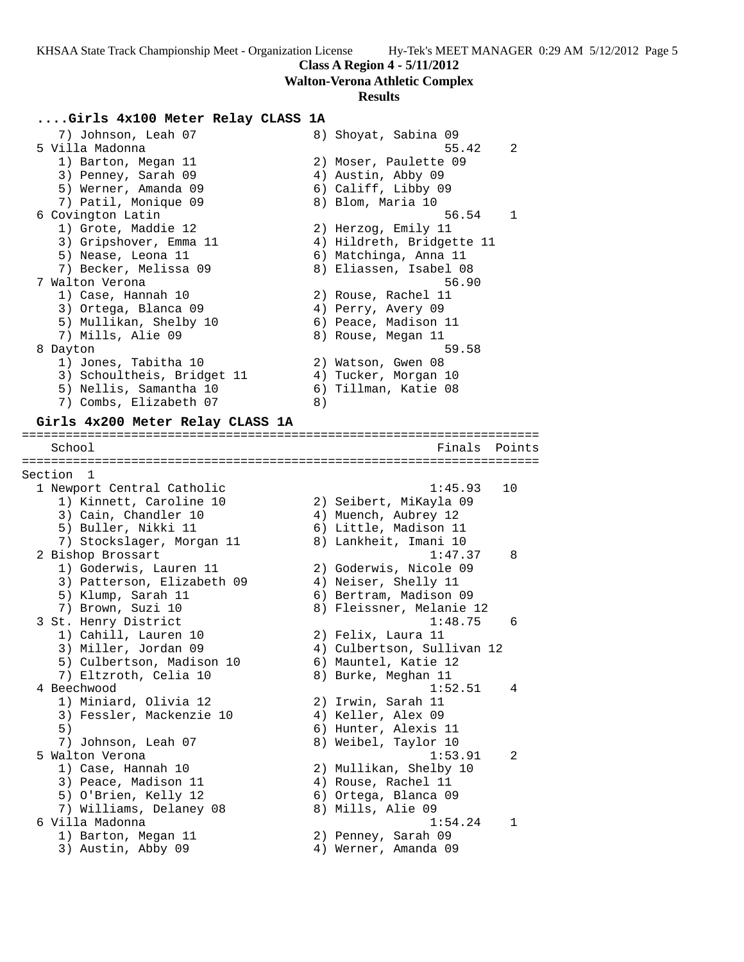**Walton-Verona Athletic Complex**

### **Results**

# **....Girls 4x100 Meter Relay CLASS 1A**

7) Johnson, Leah 07 8) Shoyat, Sabina 09 5 Villa Madonna 55.42 2 1) Barton, Megan 11 2) Moser, Paulette 09 3) Penney, Sarah 09  $(4)$  Austin, Abby 09 5) Werner, Amanda 09 6) Califf, Libby 09 7) Patil, Monique 09 8) Blom, Maria 10 6 Covington Latin 56.54 1 1) Grote, Maddie 12 2) Herzog, Emily 11 3) Gripshover, Emma 11 4) Hildreth, Bridgette 11 5) Nease, Leona 11 6) Matchinga, Anna 11 7) Becker, Melissa 09 8) Eliassen, Isabel 08 7 Walton Verona 56.90 1) Case, Hannah 10 2) Rouse, Rachel 11 3) Ortega, Blanca 09 (4) Perry, Avery 09 5) Mullikan, Shelby 10 (6) Peace, Madison 11 7) Mills, Alie 09 8) Rouse, Megan 11 8 Dayton 59.58 1) Jones, Tabitha 10 2) Watson, Gwen 08 3) Schoultheis, Bridget 11 (4) Tucker, Morgan 10 5) Nellis, Samantha 10 (6) Tillman, Katie 08 7) Combs, Elizabeth 07 8) **Girls 4x200 Meter Relay CLASS 1A** =======================================================================

School **Finals Points** 

======================================================================= Section 1 1 Newport Central Catholic 1:45.93 10 1) Kinnett, Caroline 10 2) Seibert, MiKayla 09 3) Cain, Chandler 10 (4) Muench, Aubrey 12 5) Buller, Nikki 11 6) Little, Madison 11 7) Stockslager, Morgan 11 8) Lankheit, Imani 10 2 Bishop Brossart 1:47.37 8 1) Goderwis, Lauren 11 2) Goderwis, Nicole 09 3) Patterson, Elizabeth 09 4) Neiser, Shelly 11 5) Klump, Sarah 11 6) Bertram, Madison 09 7) Brown, Suzi 10 8) Fleissner, Melanie 12 3 St. Henry District 1:48.75 6 1) Cahill, Lauren 10 2) Felix, Laura 11 3) Miller, Jordan 09 4) Culbertson, Sullivan 12 5) Culbertson, Madison 10 6) Mauntel, Katie 12 7) Eltzroth, Celia 10  $\hskip1cm 8$ ) Burke, Meghan 11 4 Beechwood 1:52.51 4 1) Miniard, Olivia 12 2) Irwin, Sarah 11 3) Fessler, Mackenzie 10  $\hskip1cm 4$ ) Keller, Alex 09 5) 6) Hunter, Alexis 11 7) Johnson, Leah 07 8) Weibel, Taylor 10 5 Walton Verona 1:53.91 2 1) Case, Hannah 10 2) Mullikan, Shelby 10 3) Peace, Madison 11 4) Rouse, Rachel 11 5) O'Brien, Kelly 12 (6) Ortega, Blanca 09 7) Williams, Delaney 08 8) Mills, Alie 09 6 Villa Madonna 1:54.24 1 1) Barton, Megan 11 2) Penney, Sarah 09 3) Austin, Abby 09 (4) Werner, Amanda 09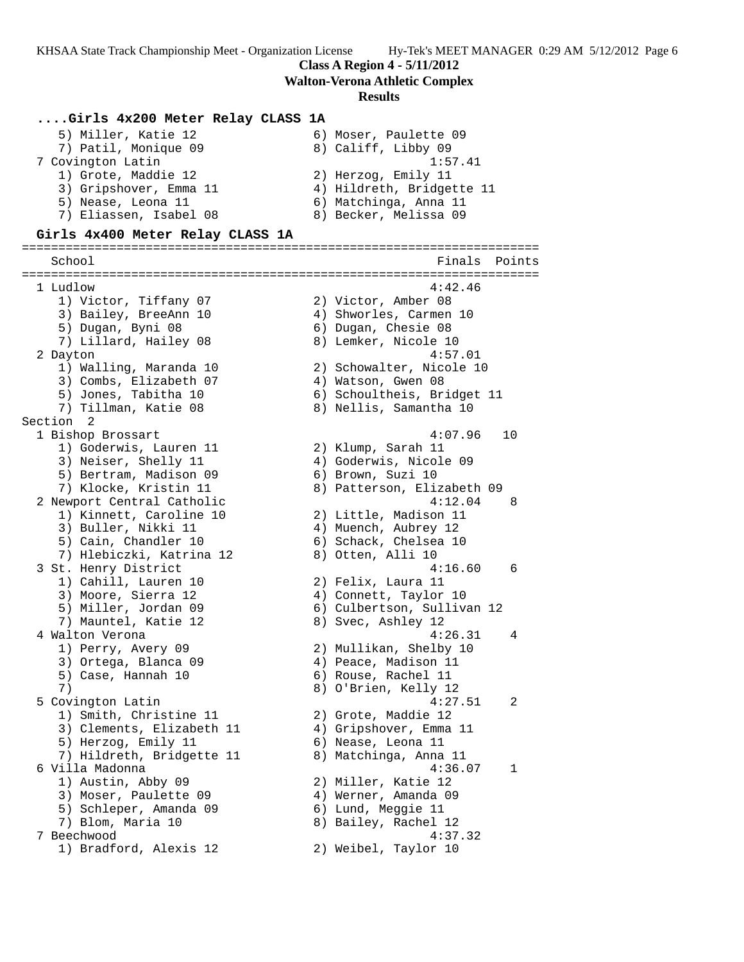**Class A Region 4 - 5/11/2012**

**Walton-Verona Athletic Complex**

#### **Results**

## **....Girls 4x200 Meter Relay CLASS 1A**

| 5) Miller, Katie 12    | 6) Moser, Paulette 09     |
|------------------------|---------------------------|
| 7) Patil, Monique 09   | 8) Califf, Libby 09       |
| 7 Covington Latin      | 1:57.41                   |
| 1) Grote, Maddie 12    | 2) Herzog, Emily 11       |
| 3) Gripshover, Emma 11 | 4) Hildreth, Bridgette 11 |
| 5) Nease, Leona 11     | 6) Matchinga, Anna 11     |
| 7) Eliassen, Isabel 08 | 8) Becker, Melissa 09     |
|                        |                           |

# **Girls 4x400 Meter Relay CLASS 1A**

======================================================================= School **Finals Points** ======================================================================= 1 Ludlow 4:42.46 1) Victor, Tiffany 07 2) Victor, Amber 08 3) Bailey, BreeAnn 10 4) Shworles, Carmen 10 5) Dugan, Byni 08 6) Dugan, Chesie 08 7) Lillard, Hailey 08 8) Lemker, Nicole 10 2 Dayton 4:57.01 1) Walling, Maranda 10 2) Schowalter, Nicole 10 3) Combs, Elizabeth 07 (4) Watson, Gwen 08 5) Jones, Tabitha 10 6) Schoultheis, Bridget 11 7) Tillman, Katie 08 8) Nellis, Samantha 10 Section 2<br>1 Bishop Brossart 1 Bishop Brossart 4:07.96 10 1) Goderwis, Lauren 11 2) Klump, Sarah 11 3) Neiser, Shelly 11 4) Goderwis, Nicole 09 5) Bertram, Madison 09 (6) Brown, Suzi 10 7) Klocke, Kristin 11 8) Patterson, Elizabeth 09 2 Newport Central Catholic 4:12.04 8 1) Kinnett, Caroline 10 2) Little, Madison 11 3) Buller, Nikki 11 (4) Muench, Aubrey 12 5) Cain, Chandler 10 (6) Schack, Chelsea 10 7) Hlebiczki, Katrina 12 8) Otten, Alli 10 3 St. Henry District 4:16.60 6 1) Cahill, Lauren 10 2) Felix, Laura 11 3) Moore, Sierra 12 4) Connett, Taylor 10 5) Miller, Jordan 09 6) Culbertson, Sullivan 12 7) Mauntel, Katie 12 and 8) Svec, Ashley 12 4 Walton Verona 2008 1:26.31 4 1) Perry, Avery 09 2) Mullikan, Shelby 10 3) Ortega, Blanca 09 (4) Peace, Madison 11 5) Case, Hannah 10 (6) Rouse, Rachel 11 7) 8) O'Brien, Kelly 12 5 Covington Latin 4:27.51 2 1) Smith, Christine 11 and 2) Grote, Maddie 12 3) Clements, Elizabeth 11 4) Gripshover, Emma 11 5) Herzog, Emily 11 (6) Nease, Leona 11 7) Hildreth, Bridgette 11 8) Matchinga, Anna 11 6 Villa Madonna 4:36.07 1 1) Austin, Abby 09 2) Miller, Katie 12 3) Moser, Paulette 09 (4) Werner, Amanda 09 5) Schleper, Amanda 09 6) Lund, Meggie 11 7) Blom, Maria 10 8) Bailey, Rachel 12 7 Beechwood 4:37.32 1) Bradford, Alexis 12 2) Weibel, Taylor 10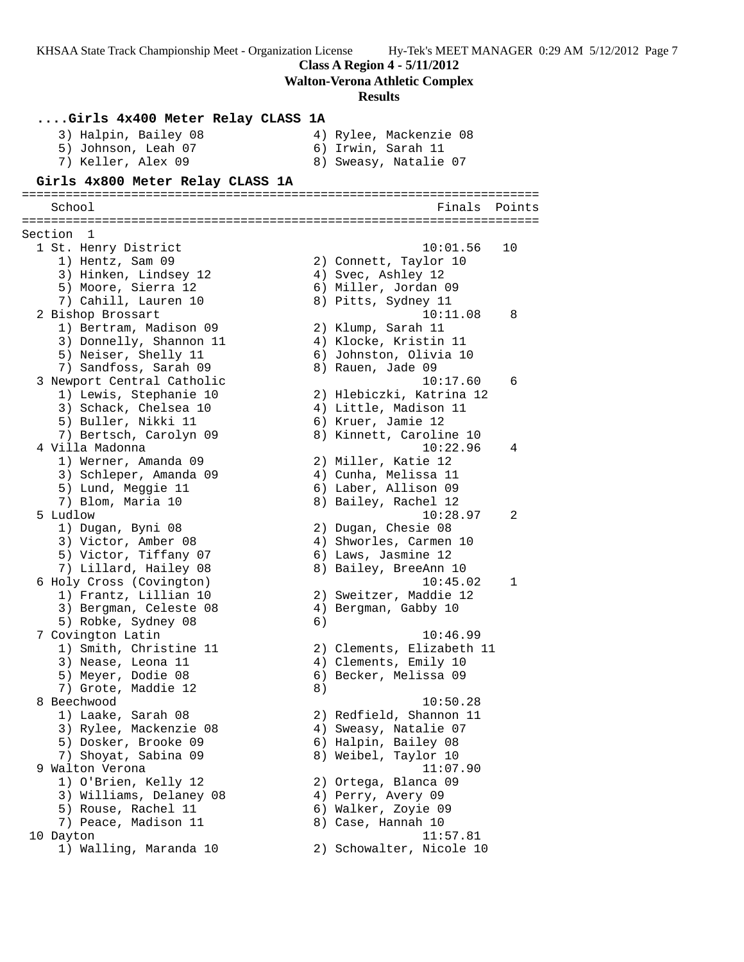**Class A Region 4 - 5/11/2012 Walton-Verona Athletic Complex Results ....Girls 4x400 Meter Relay CLASS 1A** 3) Halpin, Bailey 08 4) Rylee, Mackenzie 08 5) Johnson, Leah 07 (6) Irwin, Sarah 11 7) Keller, Alex 09 8) Sweasy, Natalie 07 **Girls 4x800 Meter Relay CLASS 1A** ======================================================================= School **Finals Points** ======================================================================= Section 1 1 St. Henry District 10:01.56 10 1) Hentz, Sam 09 2) Connett, Taylor 10 3) Hinken, Lindsey 12 4) Svec, Ashley 12 5) Moore, Sierra 12 6) Miller, Jordan 09 7) Cahill, Lauren 10 (8) Pitts, Sydney 11 2 Bishop Brossart 10:11.08 8 1) Bertram, Madison 09 2) Klump, Sarah 11 3) Donnelly, Shannon 11 4) Klocke, Kristin 11 5) Neiser, Shelly 11 6) Johnston, Olivia 10 7) Sandfoss, Sarah 09 8) Rauen, Jade 09 3 Newport Central Catholic 10:17.60 6 1) Lewis, Stephanie 10 2) Hlebiczki, Katrina 12 3) Schack, Chelsea 10 4) Little, Madison 11 5) Buller, Nikki 11 6) Kruer, Jamie 12 7) Bertsch, Carolyn 09 8) Kinnett, Caroline 10 4 Villa Madonna 10:22.96 4 1) Werner, Amanda 09 2) Miller, Katie 12 3) Schleper, Amanda 09 4) Cunha, Melissa 11 5) Lund, Meggie 11 (6) Laber, Allison 09 7) Blom, Maria 10 8) Bailey, Rachel 12 5 Ludlow 10:28.97 2 1) Dugan, Byni 08 2) Dugan, Chesie 08 3) Victor, Amber 08 4) Shworles, Carmen 10 5) Victor, Tiffany 07 (6) Laws, Jasmine 12 7) Lillard, Hailey 08 8) Bailey, BreeAnn 10 6 Holy Cross (Covington) 10:45.02 1 1) Frantz, Lillian 10 2) Sweitzer, Maddie 12 3) Bergman, Celeste 08 (4) Bergman, Gabby 10 5) Robke, Sydney 08 (6) 7 Covington Latin 10:46.99 1) Smith, Christine 11 2) Clements, Elizabeth 11 3) Nease, Leona 11 4) Clements, Emily 10 5) Meyer, Dodie 08 6) Becker, Melissa 09 7) Grote, Maddie 12 (8) 8 Beechwood 10:50.28 1) Laake, Sarah 08 2) Redfield, Shannon 11 3) Rylee, Mackenzie 08 4) Sweasy, Natalie 07 5) Dosker, Brooke 09 6) Halpin, Bailey 08 7) Shoyat, Sabina 09 8) Weibel, Taylor 10 9 Walton Verona 11:07.90 1) O'Brien, Kelly 12 2) Ortega, Blanca 09 3) Williams, Delaney 08 (4) Perry, Avery 09 5) Rouse, Rachel 11 6) Walker, Zoyie 09 7) Peace, Madison 11 8) Case, Hannah 10 10 Dayton 11:57.81 1) Walling, Maranda 10 2) Schowalter, Nicole 10

KHSAA State Track Championship Meet - Organization License Hy-Tek's MEET MANAGER 0:29 AM 5/12/2012 Page 7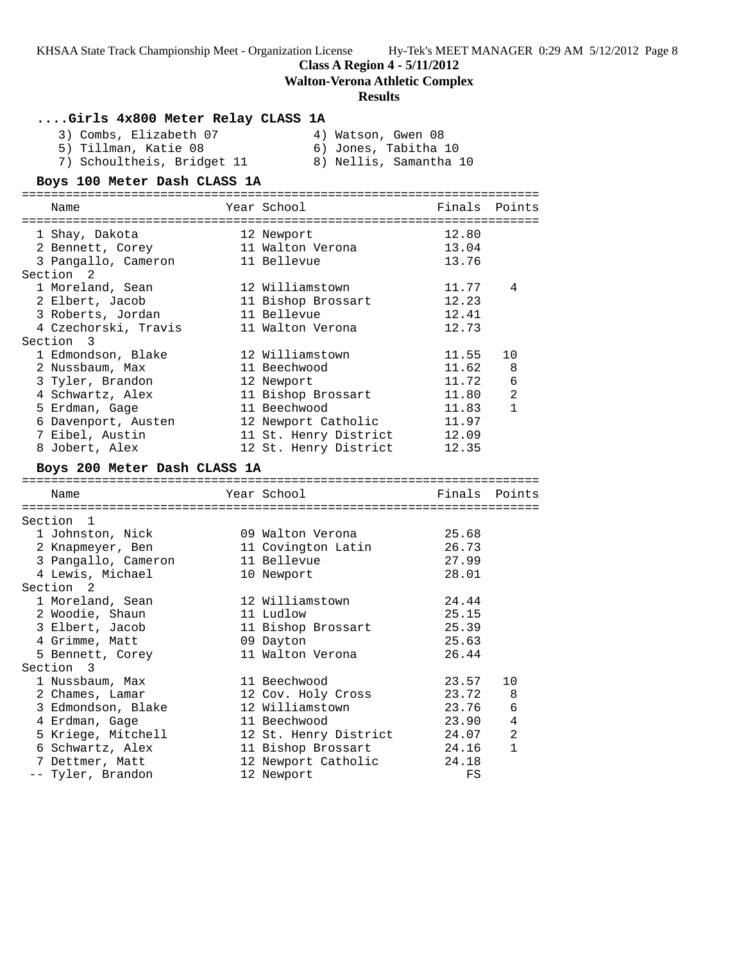**Class A Region 4 - 5/11/2012**

**Walton-Verona Athletic Complex**

### **Results**

# **....Girls 4x800 Meter Relay CLASS 1A**

| 3) Combs, Elizabeth 07 |  | 4) Watson, Gwen 08   |  |
|------------------------|--|----------------------|--|
| 5) Tillman, Katie 08   |  | 6) Jones, Tabitha 10 |  |

- 7) Schoultheis, Bridget 11 8) Nellis, Samantha 10
- 5) Tillman, Katie 08 6) Jones, Tabitha 10

# **Boys 100 Meter Dash CLASS 1A**

| Name                                  | Year School                           | Finals         | Points         |
|---------------------------------------|---------------------------------------|----------------|----------------|
| 1 Shay, Dakota                        | 12 Newport                            | 12.80          |                |
| 2 Bennett, Corey                      | 11 Walton Verona                      | 13.04          |                |
| 3 Pangallo, Cameron                   | 11 Bellevue                           | 13.76          |                |
| Section <sub>2</sub>                  |                                       |                |                |
| 1 Moreland, Sean                      | 12 Williamstown                       | 11.77          | 4              |
| 2 Elbert, Jacob                       | 11 Bishop Brossart                    | 12.23          |                |
| 3 Roberts, Jordan                     | 11 Bellevue                           | 12.41          |                |
| 4 Czechorski, Travis                  | 11 Walton Verona                      | 12.73          |                |
| Section 3                             |                                       |                |                |
| 1 Edmondson, Blake                    | 12 Williamstown                       | 11.55          | 10             |
| 2 Nussbaum, Max                       | 11 Beechwood                          | 11.62          | 8              |
| 3 Tyler, Brandon                      | 12 Newport                            | 11.72          | $\epsilon$     |
| 4 Schwartz, Alex                      | 11 Bishop Brossart                    | 11.80          | $\overline{2}$ |
| 5 Erdman, Gage                        | 11 Beechwood                          | 11.83          | $\mathbf{1}$   |
| 6 Davenport, Austen                   | 12 Newport Catholic                   | 11.97          |                |
| 7 Eibel, Austin                       | 11 St. Henry District                 | 12.09          |                |
| 8 Jobert, Alex                        | 12 St. Henry District                 | 12.35          |                |
| Boys 200 Meter Dash CLASS 1A          |                                       |                |                |
|                                       |                                       |                |                |
| Name                                  | Year School                           | Finals         | Points         |
| Section 1                             |                                       |                |                |
| 1 Johnston, Nick                      | 09 Walton Verona                      | 25.68          |                |
| 2 Knapmeyer, Ben                      | 11 Covington Latin                    | 26.73          |                |
| 3 Pangallo, Cameron                   | 11 Bellevue                           | 27.99          |                |
| 4 Lewis, Michael                      | 10 Newport                            | 28.01          |                |
| Section <sub>2</sub>                  |                                       |                |                |
| 1 Moreland, Sean                      | 12 Williamstown                       | 24.44          |                |
| 2 Woodie, Shaun                       | 11 Ludlow                             | 25.15          |                |
| 3 Elbert, Jacob                       |                                       |                |                |
|                                       |                                       |                |                |
|                                       | 11 Bishop Brossart                    | 25.39          |                |
| 4 Grimme, Matt                        | 09 Dayton                             | 25.63          |                |
| 5 Bennett, Corey                      | 11 Walton Verona                      | 26.44          |                |
| Section 3<br>1 Nussbaum, Max          | 11 Beechwood                          | 23.57          | 10             |
|                                       |                                       |                | 8              |
| 2 Chames, Lamar<br>3 Edmondson, Blake | 12 Cov. Holy Cross<br>12 Williamstown | 23.72<br>23.76 | $\epsilon$     |
| 4 Erdman, Gage                        | 11 Beechwood                          | 23.90          | 4              |
| 5 Kriege, Mitchell                    | 12 St. Henry District                 | 24.07          | 2              |
| 6 Schwartz, Alex                      | 11 Bishop Brossart                    | 24.16          | $\mathbf{1}$   |

-- Tyler, Brandon 12 Newport FS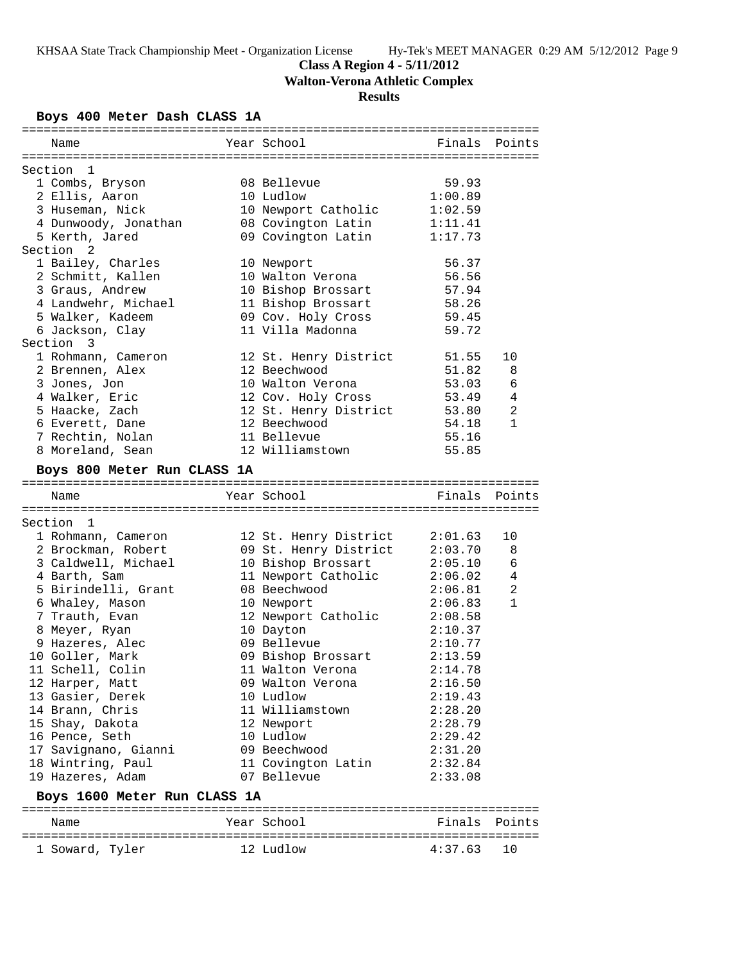**Class A Region 4 - 5/11/2012**

**Walton-Verona Athletic Complex**

# **Results**

# **Boys 400 Meter Dash CLASS 1A**

| Name                                   | Year School                      | Finals         | Points                         |
|----------------------------------------|----------------------------------|----------------|--------------------------------|
|                                        |                                  |                |                                |
| Section 1                              |                                  |                |                                |
| 1 Combs, Bryson                        | 08 Bellevue                      | 59.93          |                                |
| 2 Ellis, Aaron                         | 10 Ludlow                        | 1:00.89        |                                |
| 3 Huseman, Nick                        | 10 Newport Catholic              | 1:02.59        |                                |
| 4 Dunwoody, Jonathan                   | 08 Covington Latin               | 1:11.41        |                                |
| 5 Kerth, Jared<br>Section <sub>2</sub> | 09 Covington Latin               | 1:17.73        |                                |
|                                        |                                  | 56.37          |                                |
| 1 Bailey, Charles<br>2 Schmitt, Kallen | 10 Newport                       |                |                                |
|                                        | 10 Walton Verona                 | 56.56          |                                |
| 3 Graus, Andrew                        | 10 Bishop Brossart               | 57.94<br>58.26 |                                |
| 4 Landwehr, Michael                    | 11 Bishop Brossart               |                |                                |
| 5 Walker, Kadeem                       | 09 Cov. Holy Cross               | 59.45          |                                |
| 6 Jackson, Clay<br>Section 3           | 11 Villa Madonna                 | 59.72          |                                |
|                                        |                                  |                |                                |
| 1 Rohmann, Cameron                     | 12 St. Henry District            | 51.55          | 10                             |
| 2 Brennen, Alex<br>3 Jones, Jon        | 12 Beechwood<br>10 Walton Verona | 51.82<br>53.03 | 8                              |
|                                        |                                  |                | 6                              |
| 4 Walker, Eric                         | 12 Cov. Holy Cross               | 53.49          | 4                              |
| 5 Haacke, Zach                         | 12 St. Henry District            | 53.80          | $\overline{2}$<br>$\mathbf{1}$ |
| 6 Everett, Dane                        | 12 Beechwood<br>11 Bellevue      | 54.18          |                                |
| 7 Rechtin, Nolan                       |                                  | 55.16<br>55.85 |                                |
| 8 Moreland, Sean                       | 12 Williamstown                  |                |                                |
| Boys 800 Meter Run CLASS 1A            |                                  |                |                                |
|                                        |                                  |                |                                |
| Name                                   | Year School                      | Finals         | Points                         |
| Section 1                              |                                  |                |                                |
| 1 Rohmann, Cameron                     | 12 St. Henry District            |                |                                |
|                                        |                                  |                |                                |
|                                        |                                  | 2:01.63        | 10                             |
| 2 Brockman, Robert                     | 09 St. Henry District            | 2:03.70        | 8                              |
| 3 Caldwell, Michael                    | 10 Bishop Brossart               | 2:05.10        | 6                              |
| 4 Barth, Sam                           | 11 Newport Catholic              | 2:06.02        | 4                              |
| 5 Birindelli, Grant                    | 08 Beechwood                     | 2:06.81        | $\overline{2}$                 |
| 6 Whaley, Mason                        | 10 Newport                       | 2:06.83        | $\mathbf{1}$                   |
| 7 Trauth, Evan                         | 12 Newport Catholic              | 2:08.58        |                                |
| 8 Meyer, Ryan                          | 10 Dayton                        | 2:10.37        |                                |
| 9 Hazeres, Alec                        | 09 Bellevue                      | 2:10.77        |                                |
| 10 Goller, Mark                        | 09 Bishop Brossart               | 2:13.59        |                                |
| 11 Schell, Colin                       | 11 Walton Verona                 | 2:14.78        |                                |
| 12 Harper, Matt                        | 09 Walton Verona                 | 2:16.50        |                                |
| 13 Gasier, Derek                       | 10 Ludlow                        | 2:19.43        |                                |
| 14 Brann, Chris                        | 11 Williamstown                  | 2:28.20        |                                |
| 15 Shay, Dakota                        | 12 Newport                       | 2:28.79        |                                |
| 16 Pence, Seth                         | 10 Ludlow                        | 2:29.42        |                                |
| 17 Savignano, Gianni                   | 09 Beechwood                     | 2:31.20        |                                |
| 18 Wintring, Paul                      | 11 Covington Latin               | 2:32.84        |                                |
| 19 Hazeres, Adam                       | 07 Bellevue                      | 2:33.08        |                                |
| Boys 1600 Meter Run CLASS 1A           |                                  |                |                                |
| Name                                   | Year School                      | Finals         | Points                         |
| 1 Soward, Tyler                        | 12 Ludlow                        | 4:37.63        | 10                             |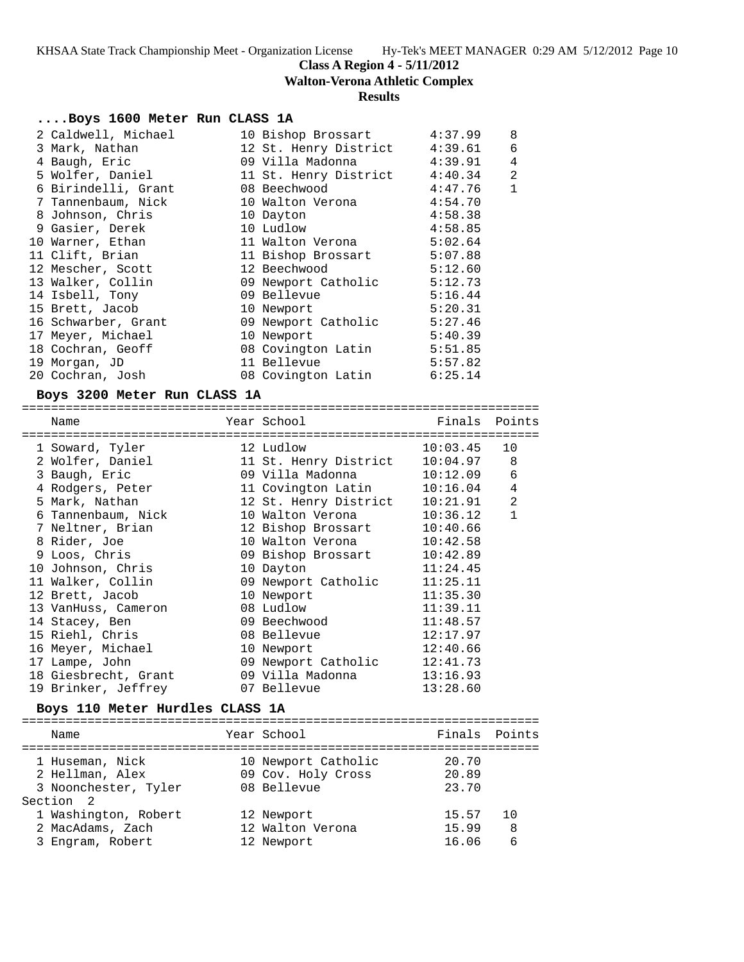**Walton-Verona Athletic Complex**

#### **Results**

# **....Boys 1600 Meter Run CLASS 1A**

|                                                                                                                                                                                                                                                                                                                                                                                             | 4:37.99                                                                                                                                                                                                                                                                                                                                                              | 8              |
|---------------------------------------------------------------------------------------------------------------------------------------------------------------------------------------------------------------------------------------------------------------------------------------------------------------------------------------------------------------------------------------------|----------------------------------------------------------------------------------------------------------------------------------------------------------------------------------------------------------------------------------------------------------------------------------------------------------------------------------------------------------------------|----------------|
|                                                                                                                                                                                                                                                                                                                                                                                             | 4:39.61                                                                                                                                                                                                                                                                                                                                                              | 6              |
|                                                                                                                                                                                                                                                                                                                                                                                             | 4:39.91                                                                                                                                                                                                                                                                                                                                                              | $\overline{4}$ |
|                                                                                                                                                                                                                                                                                                                                                                                             | 4:40.34                                                                                                                                                                                                                                                                                                                                                              | $\overline{2}$ |
|                                                                                                                                                                                                                                                                                                                                                                                             | 4:47.76                                                                                                                                                                                                                                                                                                                                                              | $\mathbf{1}$   |
|                                                                                                                                                                                                                                                                                                                                                                                             | 4:54.70                                                                                                                                                                                                                                                                                                                                                              |                |
|                                                                                                                                                                                                                                                                                                                                                                                             | 4:58.38                                                                                                                                                                                                                                                                                                                                                              |                |
|                                                                                                                                                                                                                                                                                                                                                                                             | 4:58.85                                                                                                                                                                                                                                                                                                                                                              |                |
|                                                                                                                                                                                                                                                                                                                                                                                             | 5:02.64                                                                                                                                                                                                                                                                                                                                                              |                |
|                                                                                                                                                                                                                                                                                                                                                                                             | 5:07.88                                                                                                                                                                                                                                                                                                                                                              |                |
|                                                                                                                                                                                                                                                                                                                                                                                             | 5:12.60                                                                                                                                                                                                                                                                                                                                                              |                |
|                                                                                                                                                                                                                                                                                                                                                                                             | 5:12.73                                                                                                                                                                                                                                                                                                                                                              |                |
|                                                                                                                                                                                                                                                                                                                                                                                             | 5:16.44                                                                                                                                                                                                                                                                                                                                                              |                |
|                                                                                                                                                                                                                                                                                                                                                                                             | 5:20.31                                                                                                                                                                                                                                                                                                                                                              |                |
|                                                                                                                                                                                                                                                                                                                                                                                             | 5:27.46                                                                                                                                                                                                                                                                                                                                                              |                |
|                                                                                                                                                                                                                                                                                                                                                                                             | 5:40.39                                                                                                                                                                                                                                                                                                                                                              |                |
|                                                                                                                                                                                                                                                                                                                                                                                             | 5:51.85                                                                                                                                                                                                                                                                                                                                                              |                |
|                                                                                                                                                                                                                                                                                                                                                                                             | 5:57.82                                                                                                                                                                                                                                                                                                                                                              |                |
|                                                                                                                                                                                                                                                                                                                                                                                             | 6:25.14                                                                                                                                                                                                                                                                                                                                                              |                |
| 2 Caldwell, Michael<br>3 Mark, Nathan<br>4 Baugh, Eric<br>5 Wolfer, Daniel<br>6 Birindelli, Grant<br>7 Tannenbaum, Nick<br>8 Johnson, Chris<br>9 Gasier, Derek<br>10 Warner, Ethan<br>11 Clift, Brian<br>12 Mescher, Scott<br>13 Walker, Collin<br>14 Isbell, Tony<br>15 Brett, Jacob<br>16 Schwarber, Grant<br>17 Meyer, Michael<br>18 Cochran, Geoff<br>19 Morgan, JD<br>20 Cochran, Josh | 10 Bishop Brossart<br>12 St. Henry District<br>09 Villa Madonna<br>11 St. Henry District<br>08 Beechwood<br>10 Walton Verona<br>10 Dayton<br>10 Ludlow<br>11 Walton Verona<br>11 Bishop Brossart<br>12 Beechwood<br>09 Newport Catholic<br>09 Bellevue<br>10 Newport<br>09 Newport Catholic<br>10 Newport<br>08 Covington Latin<br>11 Bellevue<br>08 Covington Latin |                |

**Boys 3200 Meter Run CLASS 1A** ======================================================================= Name The Year School The Finals Points ======================================================================= 1 Soward, Tyler 12 Ludlow 10:03.45 10 2 Wolfer, Daniel 11 St. Henry District 10:04.97 8 3 Baugh, Eric 09 Villa Madonna 10:12.09 6 4 Rodgers, Peter 11 Covington Latin 10:16.04 4 5 Mark, Nathan 12 St. Henry District 10:21.91 2 6 Tannenbaum, Nick 10 Walton Verona 10:36.12 1 7 Neltner, Brian 12 Bishop Brossart 10:40.66 8 Rider, Joe 10 Walton Verona 10:42.58 9 Loos, Chris 09 Bishop Brossart 10:42.89 10 Johnson, Chris 10 Dayton 11:24.45 11 Walker, Collin 09 Newport Catholic 11:25.11 12 Brett, Jacob 10 Newport 11:35.30 13 VanHuss, Cameron 08 Ludlow 11:39.11 14 Stacey, Ben 09 Beechwood 11:48.57 15 Riehl, Chris 08 Bellevue 12:17.97 16 Meyer, Michael 10 Newport 12:40.66 17 Lampe, John 09 Newport Catholic 12:41.73 18 Giesbrecht, Grant 09 Villa Madonna 13:16.93 19 Brinker, Jeffrey 07 Bellevue 13:28.60

# **Boys 110 Meter Hurdles CLASS 1A**

| Name                                                                    | Year School                                              | Finals Points           |              |
|-------------------------------------------------------------------------|----------------------------------------------------------|-------------------------|--------------|
| 1 Huseman, Nick<br>2 Hellman, Alex<br>3 Noonchester, Tyler<br>Section 2 | 10 Newport Catholic<br>09 Cov. Holy Cross<br>08 Bellevue | 20.70<br>20.89<br>23.70 |              |
| 1 Washington, Robert<br>2 MacAdams, Zach<br>3 Engram, Robert            | 12 Newport<br>12 Walton Verona<br>12 Newport             | 15.57<br>15.99<br>16.06 | 10<br>8<br>6 |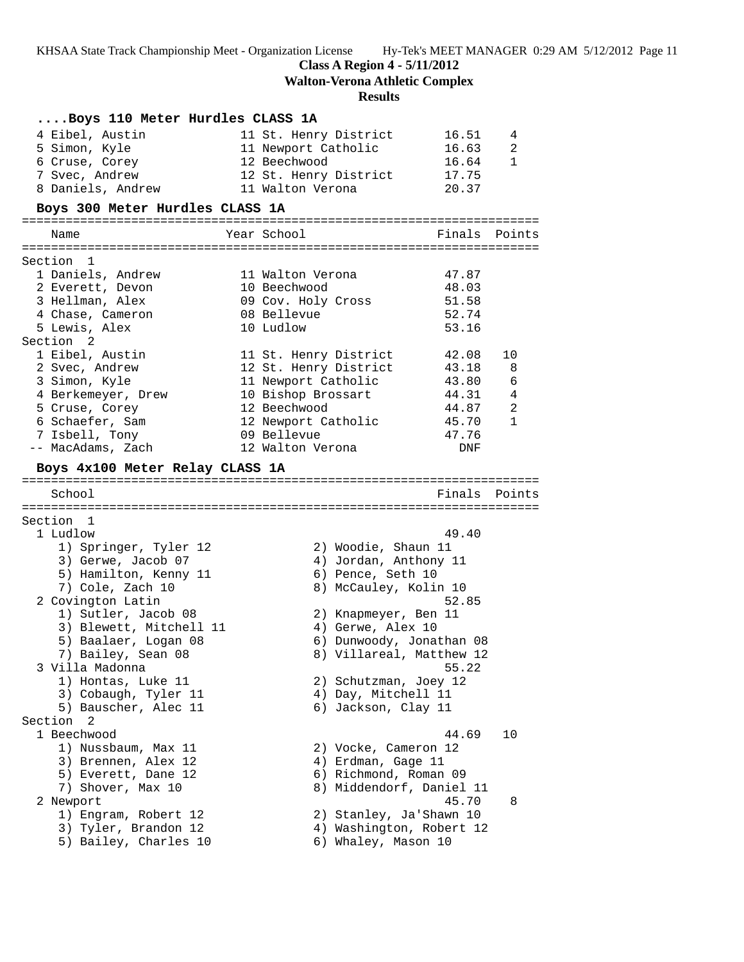**Class A Region 4 - 5/11/2012**

**Walton-Verona Athletic Complex**

# **Results**

| Boys 110 Meter Hurdles CLASS 1A |                          |                       |
|---------------------------------|--------------------------|-----------------------|
| 4 Eibel, Austin                 | 11 St. Henry District    | 16.51<br>4            |
| 5 Simon, Kyle                   | 11 Newport Catholic      | 2<br>16.63            |
| 6 Cruse, Corey                  | 12 Beechwood             | 16.64<br>1            |
| 7 Svec, Andrew                  | 12 St. Henry District    | 17.75                 |
| 8 Daniels, Andrew               | 11 Walton Verona         | 20.37                 |
| Boys 300 Meter Hurdles CLASS 1A |                          |                       |
|                                 |                          |                       |
| Name                            | Year School              | Finals Points         |
| Section 1                       |                          |                       |
| 1 Daniels, Andrew               | 11 Walton Verona         | 47.87                 |
| 2 Everett, Devon                | 10 Beechwood             | 48.03                 |
| 3 Hellman, Alex                 | 09 Cov. Holy Cross       | 51.58                 |
| 4 Chase, Cameron                | 08 Bellevue              | 52.74                 |
| 5 Lewis, Alex                   | 10 Ludlow                | 53.16                 |
| Section 2                       |                          |                       |
| 1 Eibel, Austin                 | 11 St. Henry District    | 42.08<br>10           |
| 2 Svec, Andrew                  | 12 St. Henry District    | 43.18<br>8            |
| 3 Simon, Kyle                   | 11 Newport Catholic      | 43.80<br>6            |
| 4 Berkemeyer, Drew              | 10 Bishop Brossart       | 44.31<br>4            |
| 5 Cruse, Corey                  | 12 Beechwood             | 2<br>44.87            |
| 6 Schaefer, Sam                 | 12 Newport Catholic      | 45.70<br>$\mathbf{1}$ |
| 7 Isbell, Tony                  | 09 Bellevue              | 47.76                 |
| -- MacAdams, Zach               | 12 Walton Verona         | DNF                   |
| Boys 4x100 Meter Relay CLASS 1A |                          |                       |
| School                          |                          | Finals Points         |
|                                 |                          |                       |
| Section<br>-1                   |                          |                       |
| 1 Ludlow                        |                          | 49.40                 |
| 1) Springer, Tyler 12           | 2) Woodie, Shaun 11      |                       |
| 3) Gerwe, Jacob 07              | 4) Jordan, Anthony 11    |                       |
| 5) Hamilton, Kenny 11           | 6) Pence, Seth 10        |                       |
| 7) Cole, Zach 10                | 8) McCauley, Kolin 10    |                       |
| 2 Covington Latin               |                          | 52.85                 |
| 1) Sutler, Jacob 08             | 2) Knapmeyer, Ben 11     |                       |
| 3) Blewett, Mitchell 11         | 4) Gerwe, Alex 10        |                       |
| 5) Baalaer, Logan 08            | 6) Dunwoody, Jonathan 08 |                       |
| 7) Bailey, Sean 08              | 8) Villareal, Matthew 12 |                       |
| 3 Villa Madonna                 |                          | 55.22                 |
| 1) Hontas, Luke 11              | 2) Schutzman, Joey 12    |                       |
| 3) Cobaugh, Tyler 11            | 4) Day, Mitchell 11      |                       |
| 5) Bauscher, Alec 11            | 6) Jackson, Clay 11      |                       |
| Section<br>2                    |                          |                       |
| 1 Beechwood                     |                          | 44.69<br>10           |
| 1) Nussbaum, Max 11             | 2) Vocke, Cameron 12     |                       |
| 3) Brennen, Alex 12             | 4) Erdman, Gage 11       |                       |
| 5) Everett, Dane 12             | 6) Richmond, Roman 09    |                       |
| 7) Shover, Max 10               | 8) Middendorf, Daniel 11 |                       |
| 2 Newport                       |                          | 45.70<br>8            |
| 1) Engram, Robert 12            | 2) Stanley, Ja'Shawn 10  |                       |
| 3) Tyler, Brandon 12            | 4) Washington, Robert 12 |                       |
| 5) Bailey, Charles 10           | 6) Whaley, Mason 10      |                       |
|                                 |                          |                       |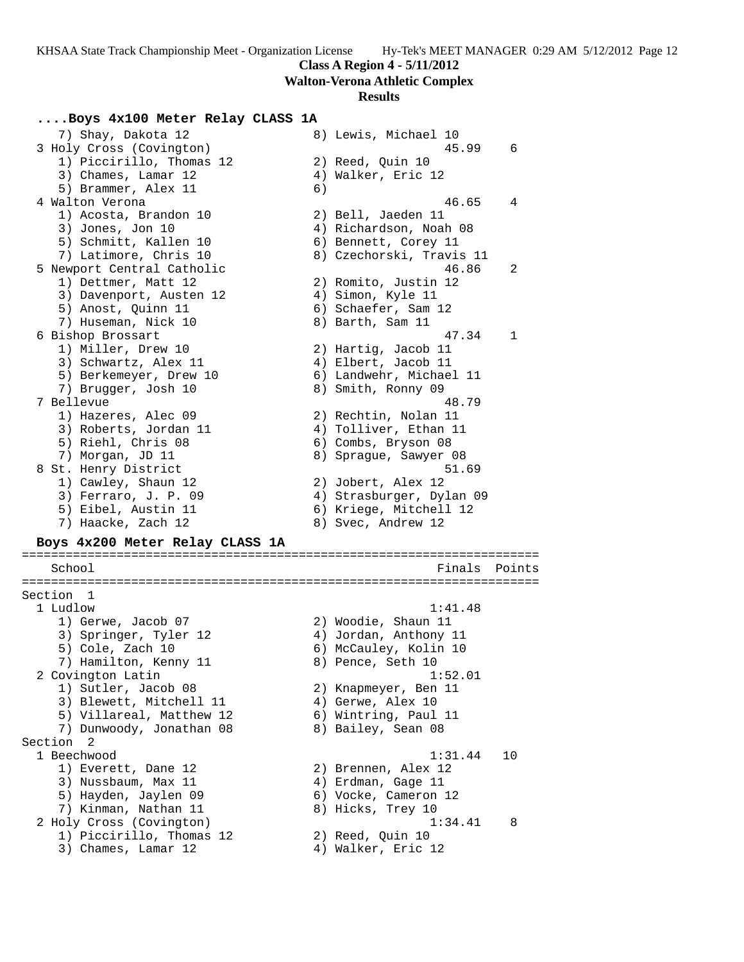**Walton-Verona Athletic Complex**

### **Results**

# **....Boys 4x100 Meter Relay CLASS 1A**

7) Shay, Dakota 12 8) Lewis, Michael 10 3 Holy Cross (Covington) 45.99 6 1) Piccirillo, Thomas 12 (2) Reed, Quin 10 3) Chames, Lamar 12 (4) Walker, Eric 12 5) Brammer, Alex 11 (6) 4 Walton Verona 46.65 4 1) Acosta, Brandon 10 2) Bell, Jaeden 11 3) Jones, Jon 10 4) Richardson, Noah 08 5) Schmitt, Kallen 10 (6) Bennett, Corey 11 7) Latimore, Chris 10 8) Czechorski, Travis 11 5 Newport Central Catholic 46.86 2 1) Dettmer, Matt 12 2) Romito, Justin 12 3) Davenport, Austen 12 (4) Simon, Kyle 11 5) Anost, Quinn 11 6) Schaefer, Sam 12 7) Huseman, Nick 10 (8) Barth, Sam 11 6 Bishop Brossart 47.34 1 1) Miller, Drew 10 2) Hartig, Jacob 11 3) Schwartz, Alex 11 (4) Elbert, Jacob 11 5) Berkemeyer, Drew 10 6) Landwehr, Michael 11 7) Brugger, Josh 10 8) Smith, Ronny 09 7 Bellevue 48.79 1) Hazeres, Alec 09 2) Rechtin, Nolan 11 3) Roberts, Jordan 11 4) Tolliver, Ethan 11 5) Riehl, Chris 08 6) Combs, Bryson 08 7) Morgan, JD 11 8) Sprague, Sawyer 08 8 St. Henry District 51.69 1) Cawley, Shaun 12 2) Jobert, Alex 12 3) Ferraro, J. P. 09 4) Strasburger, Dylan 09 5) Eibel, Austin 11 6) Kriege, Mitchell 12 7) Haacke, Zach 12 8) Svec, Andrew 12 **Boys 4x200 Meter Relay CLASS 1A** ======================================================================= School **Finals** Points ======================================================================= Section 1 1 Ludlow 1:41.48 1) Gerwe, Jacob 07 2) Woodie, Shaun 11 3) Springer, Tyler 12 4) Jordan, Anthony 11 5) Cole, Zach 10 6) McCauley, Kolin 10 7) Hamilton, Kenny 11 and 8) Pence, Seth 10 2 Covington Latin 1:52.01 1) Sutler, Jacob 08 2) Knapmeyer, Ben 11 3) Blewett, Mitchell 11 4) Gerwe, Alex 10 5) Villareal, Matthew 12 6) Wintring, Paul 11 7) Dunwoody, Jonathan 08 8) Bailey, Sean 08 Section 2 1 Beechwood 1:31.44 10 1) Everett, Dane 12 2) Brennen, Alex 12 3) Nussbaum, Max 11 (4) Erdman, Gage 11 5) Hayden, Jaylen 09 6) Vocke, Cameron 12 7) Kinman, Nathan 11 and 8) Hicks, Trey 10 2 Holy Cross (Covington) 1:34.41 8 1) Piccirillo, Thomas 12 (2) Reed, Quin 10 3) Chames, Lamar 12 (4) Walker, Eric 12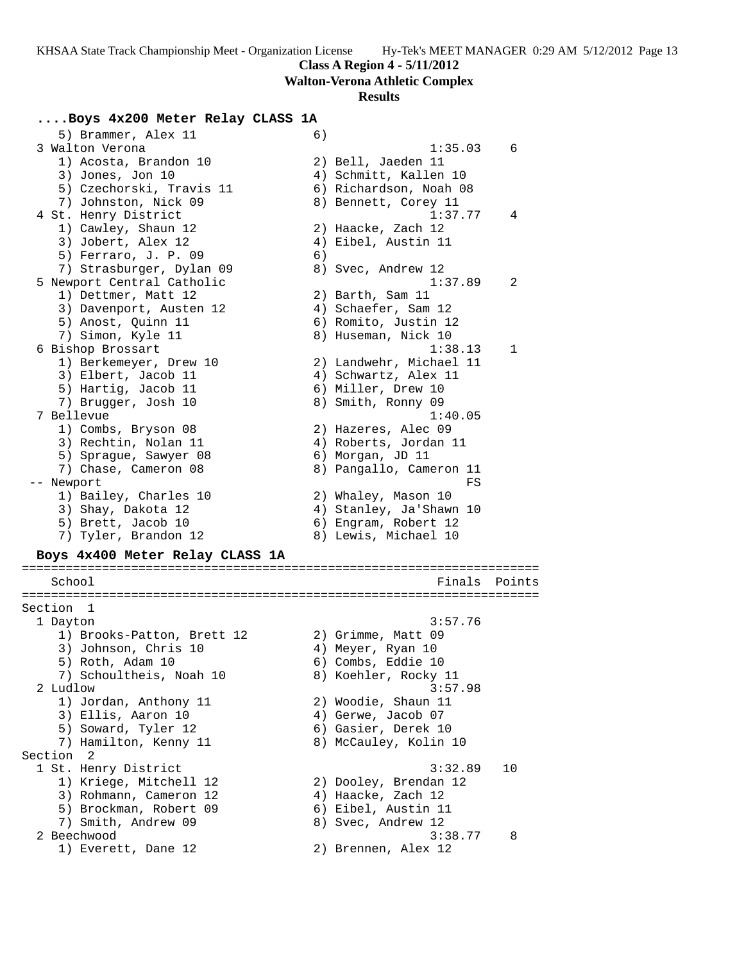**Walton-Verona Athletic Complex**

#### **Results**

# **....Boys 4x200 Meter Relay CLASS 1A**

5) Brammer, Alex 11 (6)<br>3 Walton Verona 3 Walton Verona 1:35.03 6 1) Acosta, Brandon 10 2) Bell, Jaeden 11 3) Jones, Jon 10 4) Schmitt, Kallen 10 5) Czechorski, Travis 11 6) Richardson, Noah 08 7) Johnston, Nick 09 8) Bennett, Corey 11 4 St. Henry District 1:37.77 4 1) Cawley, Shaun 12 2) Haacke, Zach 12 3) Jobert, Alex 12 (4) Eibel, Austin 11 5) Ferraro, J. P. 09 6) 7) Strasburger, Dylan 09 8) Svec, Andrew 12 5 Newport Central Catholic 1:37.89 2 1) Dettmer, Matt 12 2) Barth, Sam 11 3) Davenport, Austen 12 (4) Schaefer, Sam 12 5) Anost, Quinn 11 6) Romito, Justin 12 7) Simon, Kyle 11 8) Huseman, Nick 10 6 Bishop Brossart 1:38.13 1 1) Berkemeyer, Drew 10 2) Landwehr, Michael 11 3) Elbert, Jacob 11 (4) Schwartz, Alex 11 5) Hartig, Jacob 11 6) Miller, Drew 10 7) Brugger, Josh 10 8) Smith, Ronny 09 7 Bellevue 1:40.05 1) Combs, Bryson 08 2) Hazeres, Alec 09 3) Rechtin, Nolan 11 4) Roberts, Jordan 11 5) Sprague, Sawyer 08 (6) Morgan, JD 11 7) Chase, Cameron 08 8) Pangallo, Cameron 11 -- Newport FS 1) Bailey, Charles 10 2) Whaley, Mason 10 3) Shay, Dakota 12 4) Stanley, Ja'Shawn 10 5) Brett, Jacob 10 (6) Engram, Robert 12 7) Tyler, Brandon 12 8) Lewis, Michael 10 **Boys 4x400 Meter Relay CLASS 1A** ======================================================================= School **Finals Points** ======================================================================= Section 1 1 Dayton 3:57.76 1) Brooks-Patton, Brett 12 (2) Grimme, Matt 09 3) Johnson, Chris 10  $4)$  Meyer, Ryan 10 5) Roth, Adam 10 6) Combs, Eddie 10 7) Schoultheis, Noah 10  $\hphantom{\text{2.65}$  8) Koehler, Rocky 11 2 Ludlow 3:57.98 1) Jordan, Anthony 11 2) Woodie, Shaun 11 3) Ellis, Aaron 10 (4) Gerwe, Jacob 07 5) Soward, Tyler 12 (6) Gasier, Derek 10 7) Hamilton, Kenny 11 8) McCauley, Kolin 10 Section 2<br>1 St. Henry District

 1 St. Henry District 3:32.89 10 1) Kriege, Mitchell 12 2) Dooley, Brendan 12 3) Rohmann, Cameron 12 (and 4) Haacke, Zach 12 5) Brockman, Robert 09 6) Eibel, Austin 11 7) Smith, Andrew 09 8) Svec, Andrew 12 2 Beechwood 3:38.77 8 1) Everett, Dane 12 2) Brennen, Alex 12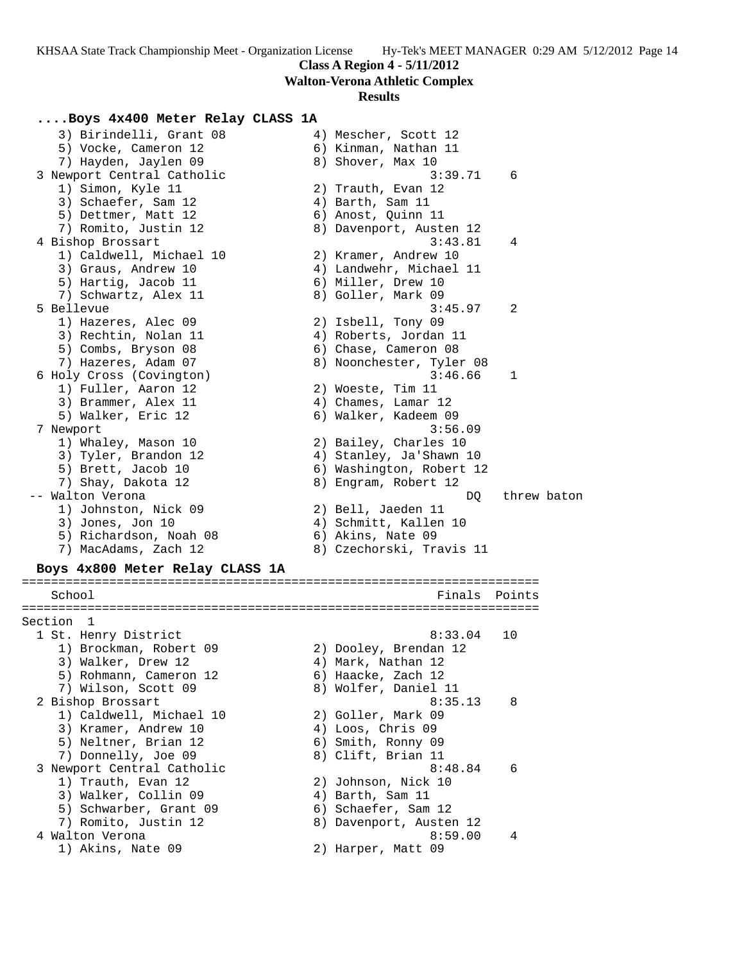**Walton-Verona Athletic Complex**

#### **Results**

### **....Boys 4x400 Meter Relay CLASS 1A**

3) Birindelli, Grant 08 (4) Mescher, Scott 12 5) Vocke, Cameron 12 (6) Kinman, Nathan 11 7) Hayden, Jaylen 09 8) Shover, Max 10 3 Newport Central Catholic 3:39.71 6 1) Simon, Kyle 11 2) Trauth, Evan 12 3) Schaefer, Sam 12 (4) Barth, Sam 11 5) Dettmer, Matt 12 (6) Anost, Quinn 11 7) Romito, Justin 12 8) Davenport, Austen 12 4 Bishop Brossart 3:43.81 4 1) Caldwell, Michael 10 2) Kramer, Andrew 10 3) Graus, Andrew 10 4) Landwehr, Michael 11 5) Hartig, Jacob 11 6) Miller, Drew 10 7) Schwartz, Alex 11 and 8) Goller, Mark 09 5 Bellevue 3:45.97 2 1) Hazeres, Alec 09 2) Isbell, Tony 09 3) Rechtin, Nolan 11 4) Roberts, Jordan 11 5) Combs, Bryson 08 6) Chase, Cameron 08 7) Hazeres, Adam 07 8) Noonchester, Tyler 08 6 Holy Cross (Covington) 3:46.66 1 1) Fuller, Aaron 12 2) Woeste, Tim 11 3) Brammer, Alex 11 (4) Chames, Lamar 12 5) Walker, Eric 12 (6) Walker, Kadeem 09 7 Newport 3:56.09 1) Whaley, Mason 10 2) Bailey, Charles 10 3) Tyler, Brandon 12 4) Stanley, Ja'Shawn 10 5) Brett, Jacob 10 6) Washington, Robert 12 7) Shay, Dakota 12 8) Engram, Robert 12 -- Walton Verona  $DQ$  threw baton batter of  $DQ$  threw baton 1) Johnston, Nick 09 2) Bell, Jaeden 11 3) Jones, Jon 10 4) Schmitt, Kallen 10 5) Richardson, Noah 08 6) Akins, Nate 09 7) MacAdams, Zach 12 8) Czechorski, Travis 11 **Boys 4x800 Meter Relay CLASS 1A** ======================================================================= School **Finals** Points **Points** ======================================================================= Section 1<br>1 St. Henry District 1 St. Henry District 8:33.04 10 1) Brockman, Robert 09 2) Dooley, Brendan 12 3) Walker, Drew 12 4) Mark, Nathan 12 5) Rohmann, Cameron 12 and 6) Haacke, Zach 12 7) Wilson, Scott 09 8) Wolfer, Daniel 11 2 Bishop Brossart 8:35.13 8 1) Caldwell, Michael 10 2) Goller, Mark 09 3) Kramer, Andrew 10 4) Loos, Chris 09 5) Neltner, Brian 12 6) Smith, Ronny 09 7) Donnelly, Joe 09 8) Clift, Brian 11 3 Newport Central Catholic 8:48.84 6 1) Trauth, Evan 12 2) Johnson, Nick 10 3) Walker, Collin 09 (4) Barth, Sam 11 5) Schwarber, Grant 09 (6) Schaefer, Sam 12 7) Romito, Justin 12 8) Davenport, Austen 12 4 Walton Verona 2008 12:59.00 4 1) Akins, Nate 09 2) Harper, Matt 09